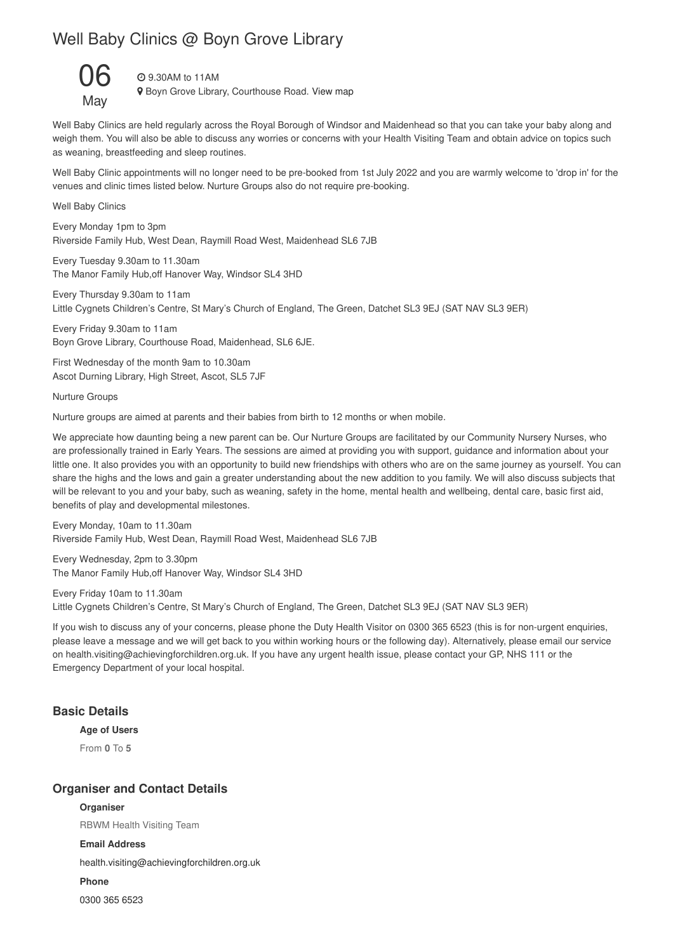# Well Baby Clinics @ Boyn Grove Library



9.30AM to 11AM

**9** Boyn Grove Library, Courthouse Road. View map

Well Baby Clinics are held regularly across the Royal Borough of Windsor and Maidenhead so that you can take your baby along and weigh them. You will also be able to discuss any worries or concerns with your Health Visiting Team and obtain advice on topics such as weaning, breastfeeding and sleep routines.

Well Baby Clinic appointments will no longer need to be pre-booked from 1st July 2022 and you are warmly welcome to 'drop in' for the venues and clinic times listed below. Nurture Groups also do not require pre-booking.

Well Baby Clinics

Every Monday 1pm to 3pm Riverside Family Hub, West Dean, Raymill Road West, Maidenhead SL6 7JB

Every Tuesday 9.30am to 11.30am The Manor Family Hub,off Hanover Way, Windsor SL4 3HD

Every Thursday 9.30am to 11am Little Cygnets Children's Centre, St Mary's Church of England, The Green, Datchet SL3 9EJ (SAT NAV SL3 9ER)

Every Friday 9.30am to 11am Boyn Grove Library, Courthouse Road, Maidenhead, SL6 6JE.

First Wednesday of the month 9am to 10.30am Ascot Durning Library, High Street, Ascot, SL5 7JF

Nurture Groups

Nurture groups are aimed at parents and their babies from birth to 12 months or when mobile.

We appreciate how daunting being a new parent can be. Our Nurture Groups are facilitated by our Community Nursery Nurses, who are professionally trained in Early Years. The sessions are aimed at providing you with support, guidance and information about your little one. It also provides you with an opportunity to build new friendships with others who are on the same journey as yourself. You can share the highs and the lows and gain a greater understanding about the new addition to you family. We will also discuss subjects that will be relevant to you and your baby, such as weaning, safety in the home, mental health and wellbeing, dental care, basic first aid, benefits of play and developmental milestones.

Every Monday, 10am to 11.30am Riverside Family Hub, West Dean, Raymill Road West, Maidenhead SL6 7JB

Every Wednesday, 2pm to 3.30pm The Manor Family Hub,off Hanover Way, Windsor SL4 3HD

Every Friday 10am to 11.30am Little Cygnets Children's Centre, St Mary's Church of England, The Green, Datchet SL3 9EJ (SAT NAV SL3 9ER)

If you wish to discuss any of your concerns, please phone the Duty Health Visitor on 0300 365 6523 (this is for non-urgent enquiries, please leave a message and we will get back to you within working hours or the following day). Alternatively, please email our service on health.visiting@achievingforchildren.org.uk. If you have any urgent health issue, please contact your GP, NHS 111 or the Emergency Department of your local hospital.

## **Basic Details**

#### **Age of Users**

From **0** To **5**

#### **Organiser and Contact Details**

**Organiser** RBWM Health Visiting Team **Email Address** health.visiting@achievingforchildren.org.uk **Phone**

0300 365 6523